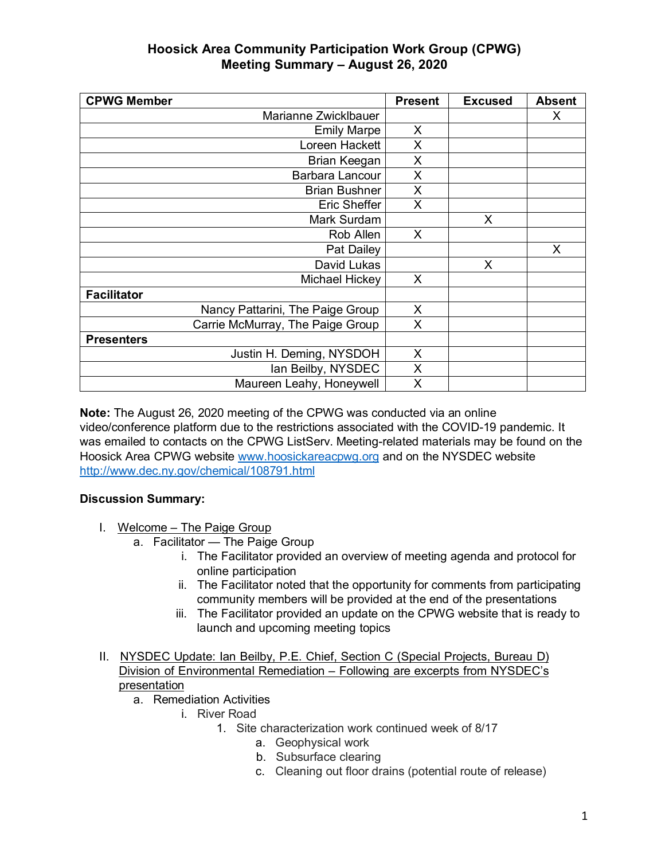| <b>CPWG Member</b>               | <b>Present</b> | <b>Excused</b> | <b>Absent</b> |
|----------------------------------|----------------|----------------|---------------|
| Marianne Zwicklbauer             |                |                | X             |
| <b>Emily Marpe</b>               | X              |                |               |
| Loreen Hackett                   | X.             |                |               |
| Brian Keegan                     | X.             |                |               |
| Barbara Lancour                  | X              |                |               |
| <b>Brian Bushner</b>             | X              |                |               |
| Eric Sheffer                     | X              |                |               |
| Mark Surdam                      |                | X              |               |
| Rob Allen                        | X              |                |               |
| Pat Dailey                       |                |                | X             |
| David Lukas                      |                | X              |               |
| Michael Hickey                   | X              |                |               |
| <b>Facilitator</b>               |                |                |               |
| Nancy Pattarini, The Paige Group | X              |                |               |
| Carrie McMurray, The Paige Group | X              |                |               |
| <b>Presenters</b>                |                |                |               |
| Justin H. Deming, NYSDOH         | X              |                |               |
| lan Beilby, NYSDEC               | X              |                |               |
| Maureen Leahy, Honeywell         | X              |                |               |

**Note:** The August 26, 2020 meeting of the CPWG was conducted via an online video/conference platform due to the restrictions associated with the COVID-19 pandemic. It was emailed to contacts on the CPWG ListServ. Meeting-related materials may be found on the Hoosick Area CPWG website www.hoosickareacpwg.org and on the NYSDEC website http://www.dec.ny.gov/chemical/108791.html

### **Discussion Summary:**

- I. Welcome The Paige Group
	- a. Facilitator The Paige Group
		- i. The Facilitator provided an overview of meeting agenda and protocol for online participation
		- ii. The Facilitator noted that the opportunity for comments from participating community members will be provided at the end of the presentations
		- iii. The Facilitator provided an update on the CPWG website that is ready to launch and upcoming meeting topics
- II. NYSDEC Update: Ian Beilby, P.E. Chief, Section C (Special Projects, Bureau D) Division of Environmental Remediation – Following are excerpts from NYSDEC's presentation
	- a. Remediation Activities
		- i. River Road
			- 1. Site characterization work continued week of 8/17
				- a. Geophysical work
				- b. Subsurface clearing
				- c. Cleaning out floor drains (potential route of release)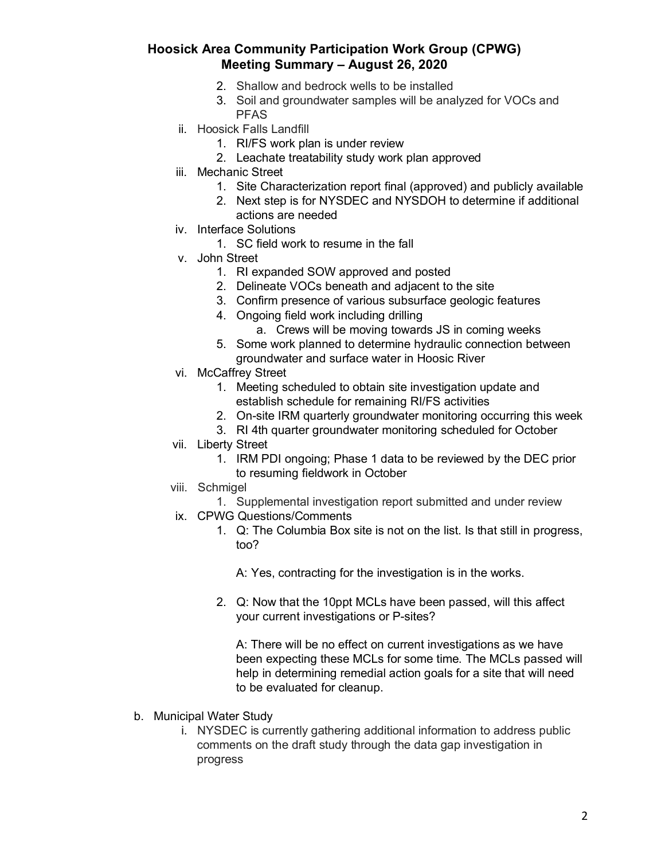- 2. Shallow and bedrock wells to be installed
- 3. Soil and groundwater samples will be analyzed for VOCs and PFAS
- ii. Hoosick Falls Landfill
	- 1. RI/FS work plan is under review
	- 2. Leachate treatability study work plan approved
- iii. Mechanic Street
	- 1. Site Characterization report final (approved) and publicly available
	- 2. Next step is for NYSDEC and NYSDOH to determine if additional actions are needed
- iv. Interface Solutions
	- 1. SC field work to resume in the fall
- v. John Street
	- 1. RI expanded SOW approved and posted
	- 2. Delineate VOCs beneath and adjacent to the site
	- 3. Confirm presence of various subsurface geologic features
	- 4. Ongoing field work including drilling
		- a. Crews will be moving towards JS in coming weeks
	- 5. Some work planned to determine hydraulic connection between groundwater and surface water in Hoosic River
- vi. McCaffrey Street
	- 1. Meeting scheduled to obtain site investigation update and establish schedule for remaining RI/FS activities
	- 2. On-site IRM quarterly groundwater monitoring occurring this week
	- 3. RI 4th quarter groundwater monitoring scheduled for October
- vii. Liberty Street
	- 1. IRM PDI ongoing; Phase 1 data to be reviewed by the DEC prior to resuming fieldwork in October
- viii. Schmigel
	- 1. Supplemental investigation report submitted and under review
- ix. CPWG Questions/Comments
	- 1. Q: The Columbia Box site is not on the list. Is that still in progress, too?

A: Yes, contracting for the investigation is in the works.

2. Q: Now that the 10ppt MCLs have been passed, will this affect your current investigations or P-sites?

A: There will be no effect on current investigations as we have been expecting these MCLs for some time. The MCLs passed will help in determining remedial action goals for a site that will need to be evaluated for cleanup.

- b. Municipal Water Study
	- i. NYSDEC is currently gathering additional information to address public comments on the draft study through the data gap investigation in progress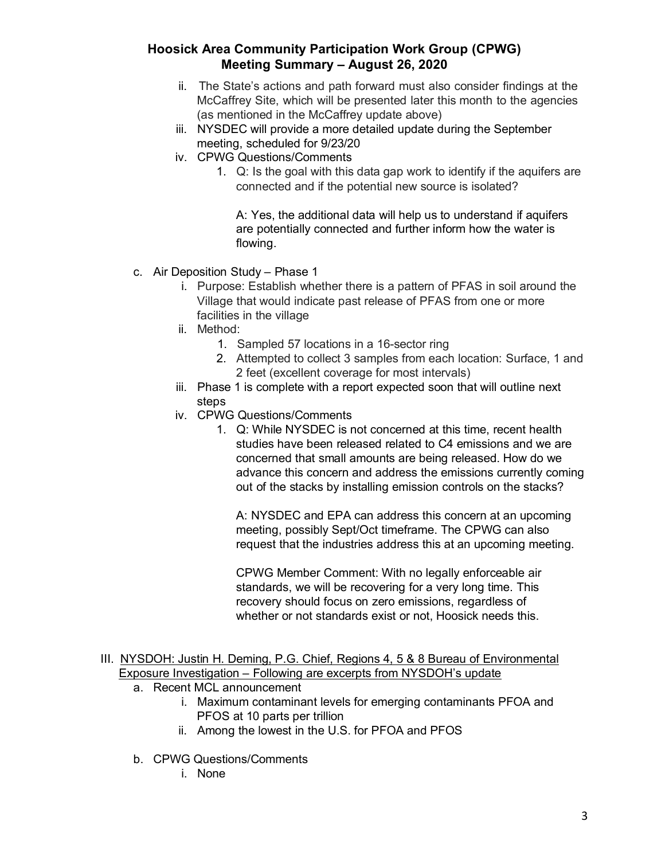- ii. The State's actions and path forward must also consider findings at the McCaffrey Site, which will be presented later this month to the agencies (as mentioned in the McCaffrey update above)
- iii. NYSDEC will provide a more detailed update during the September meeting, scheduled for 9/23/20
- iv. CPWG Questions/Comments
	- 1. Q: Is the goal with this data gap work to identify if the aquifers are connected and if the potential new source is isolated?

A: Yes, the additional data will help us to understand if aquifers are potentially connected and further inform how the water is flowing.

- c. Air Deposition Study Phase 1
	- i. Purpose: Establish whether there is a pattern of PFAS in soil around the Village that would indicate past release of PFAS from one or more facilities in the village
	- ii. Method:
		- 1. Sampled 57 locations in a 16-sector ring
		- 2. Attempted to collect 3 samples from each location: Surface, 1 and 2 feet (excellent coverage for most intervals)
	- iii. Phase 1 is complete with a report expected soon that will outline next steps
	- iv. CPWG Questions/Comments
		- 1. Q: While NYSDEC is not concerned at this time, recent health studies have been released related to C4 emissions and we are concerned that small amounts are being released. How do we advance this concern and address the emissions currently coming out of the stacks by installing emission controls on the stacks?

A: NYSDEC and EPA can address this concern at an upcoming meeting, possibly Sept/Oct timeframe. The CPWG can also request that the industries address this at an upcoming meeting.

CPWG Member Comment: With no legally enforceable air standards, we will be recovering for a very long time. This recovery should focus on zero emissions, regardless of whether or not standards exist or not, Hoosick needs this.

#### III. NYSDOH: Justin H. Deming, P.G. Chief, Regions 4, 5 & 8 Bureau of Environmental Exposure Investigation – Following are excerpts from NYSDOH's update

- a. Recent MCL announcement
	- i. Maximum contaminant levels for emerging contaminants PFOA and PFOS at 10 parts per trillion
	- ii. Among the lowest in the U.S. for PFOA and PFOS
- b. CPWG Questions/Comments
	- i. None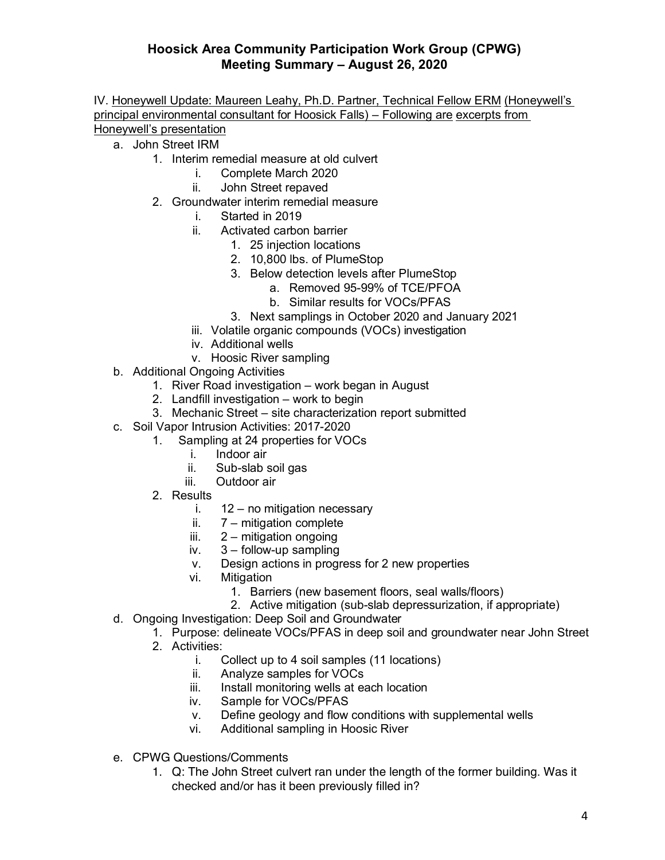IV. Honeywell Update: Maureen Leahy, Ph.D. Partner, Technical Fellow ERM (Honeywell's principal environmental consultant for Hoosick Falls) – Following are excerpts from Honeywell's presentation

- a. John Street IRM
	- 1. Interim remedial measure at old culvert
		- i. Complete March 2020
		- ii. John Street repaved
	- 2. Groundwater interim remedial measure
		- i. Started in 2019
		- ii. Activated carbon barrier
			- 1. 25 injection locations
			- 2. 10,800 lbs. of PlumeStop
			- 3. Below detection levels after PlumeStop
				- a. Removed 95-99% of TCE/PFOA
				- b. Similar results for VOCs/PFAS
			- 3. Next samplings in October 2020 and January 2021
		- iii. Volatile organic compounds (VOCs) investigation
		- iv. Additional wells
		- v. Hoosic River sampling
- b. Additional Ongoing Activities
	- 1. River Road investigation work began in August
	- 2. Landfill investigation work to begin
	- 3. Mechanic Street site characterization report submitted
- c. Soil Vapor Intrusion Activities: 2017-2020
	- 1. Sampling at 24 properties for VOCs
		- i. Indoor air
		- ii. Sub-slab soil gas
		- iii. Outdoor air
	- 2. Results
		- i. 12 no mitigation necessary
		- ii. 7 mitigation complete
		- iii.  $2 -$  mitigation ongoing
		- iv. 3 follow-up sampling
		- v. Design actions in progress for 2 new properties
		- vi. Mitigation
			- 1. Barriers (new basement floors, seal walls/floors)
			- 2. Active mitigation (sub-slab depressurization, if appropriate)
- d. Ongoing Investigation: Deep Soil and Groundwater
	- 1. Purpose: delineate VOCs/PFAS in deep soil and groundwater near John Street
	- 2. Activities:
		- i. Collect up to 4 soil samples (11 locations)
		- ii. Analyze samples for VOCs
		- iii. Install monitoring wells at each location
		- iv. Sample for VOCs/PFAS
		- v. Define geology and flow conditions with supplemental wells
		- vi. Additional sampling in Hoosic River
- e. CPWG Questions/Comments
	- 1. Q: The John Street culvert ran under the length of the former building. Was it checked and/or has it been previously filled in?